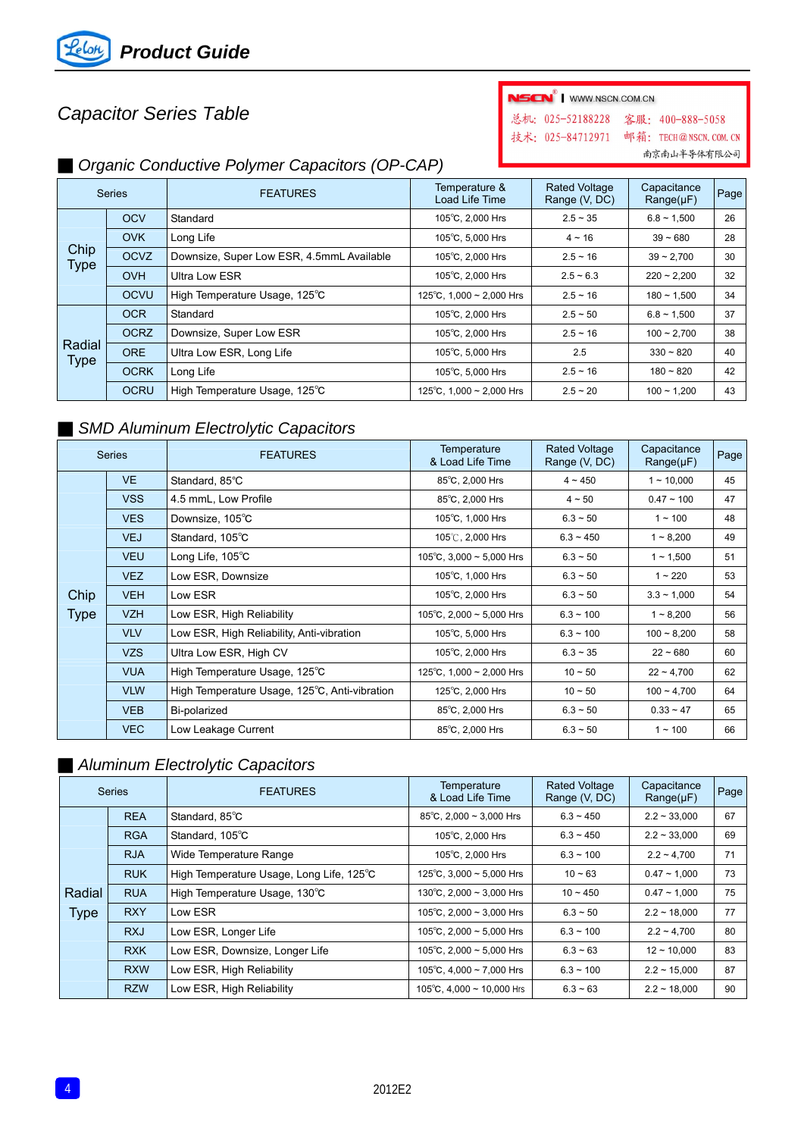

# *Capacitor Series Table*

| NSCN <sup>®</sup>   WWW.NSCN.COM.CN |                        |
|-------------------------------------|------------------------|
| 总机: 025-52188228 客服: 400-888-5058   |                        |
| 技术: 025-84712971                    | 邮箱: TECH@NSCN. COM. CN |
|                                     | 南京南山半导体有限公司            |

### ■ *Organic Conductive Polymer Capacitors (OP-CAP)*

| <b>Series</b>         |             | <b>FEATURES</b>                           | Temperature &<br>Load Life Time | <b>Rated Voltage</b><br>Range (V, DC) | Capacitance<br>$Range(\mu F)$ | Page |
|-----------------------|-------------|-------------------------------------------|---------------------------------|---------------------------------------|-------------------------------|------|
|                       | <b>OCV</b>  | Standard                                  | 105°C, 2,000 Hrs                | $2.5 - 35$                            | $6.8 \sim 1,500$              | 26   |
|                       | <b>OVK</b>  | Long Life                                 | 105°C, 5,000 Hrs                | $4 \sim 16$                           | $39 - 680$                    | 28   |
| Chip<br>Type          | <b>OCVZ</b> | Downsize, Super Low ESR, 4.5mmL Available | 105°C, 2,000 Hrs                | $2.5 - 16$                            | $39 - 2.700$                  | 30   |
|                       | <b>OVH</b>  | Ultra Low ESR                             | 105°C, 2,000 Hrs                | $2.5 - 6.3$                           | $220 - 2,200$                 | 32   |
|                       | <b>OCVU</b> | High Temperature Usage, 125°C             | 125°C, 1,000 ~ 2,000 Hrs        | $2.5 - 16$                            | $180 - 1,500$                 | 34   |
| Radial<br><b>Type</b> | <b>OCR</b>  | Standard                                  | 105°C, 2,000 Hrs                | $2.5 - 50$                            | $6.8 \sim 1.500$              | 37   |
|                       | <b>OCRZ</b> | Downsize, Super Low ESR                   | 105°C, 2,000 Hrs                | $2.5 - 16$                            | $100 - 2,700$                 | 38   |
|                       | <b>ORE</b>  | Ultra Low ESR, Long Life                  | 105°C, 5,000 Hrs                | 2.5                                   | $330 - 820$                   | 40   |
|                       | <b>OCRK</b> | Long Life                                 | 105°C, 5,000 Hrs                | $2.5 - 16$                            | $180 - 820$                   | 42   |
|                       | <b>OCRU</b> | High Temperature Usage, 125°C             | 125°C, 1,000 ~ 2,000 Hrs        | $2.5 - 20$                            | $100 - 1,200$                 | 43   |

#### **B** SMD Aluminum Electrolytic Capacitors

| <b>Series</b>       |            | <b>FEATURES</b>                               | Temperature<br>& Load Life Time | <b>Rated Voltage</b><br>Range (V, DC) | Capacitance<br>$Range(\mu F)$ | Page |
|---------------------|------------|-----------------------------------------------|---------------------------------|---------------------------------------|-------------------------------|------|
|                     | <b>VE</b>  | Standard, 85°C                                | 85°C, 2,000 Hrs                 | $4 \sim 450$                          | $1 - 10,000$                  | 45   |
|                     | <b>VSS</b> | 4.5 mmL, Low Profile                          | 85°C, 2,000 Hrs                 | $4 \sim 50$                           | $0.47 - 100$                  | 47   |
|                     | <b>VES</b> | Downsize, 105°C                               | 105°C, 1,000 Hrs                | $6.3 - 50$                            | $1 - 100$                     | 48   |
|                     | <b>VEJ</b> | Standard, 105°C                               | 105℃, 2,000 Hrs                 | $6.3 - 450$                           | $1 - 8,200$                   | 49   |
|                     | <b>VEU</b> | Long Life, $105^{\circ}$ C                    | 105°C, 3,000 $\sim$ 5,000 Hrs   | $6.3 - 50$                            | $1 - 1,500$                   | 51   |
|                     | <b>VEZ</b> | Low ESR, Downsize                             | 105°C, 1,000 Hrs                | $6.3 - 50$                            | $1 - 220$                     | 53   |
| Chip<br><b>Type</b> | <b>VEH</b> | Low ESR                                       | 105°C, 2,000 Hrs                | $6.3 - 50$                            | $3.3 - 1,000$                 | 54   |
|                     | <b>VZH</b> | Low ESR, High Reliability                     | 105°C, 2,000 ~ 5,000 Hrs        | $6.3 - 100$                           | $1 - 8,200$                   | 56   |
|                     | <b>VLV</b> | Low ESR, High Reliability, Anti-vibration     | 105°C, 5,000 Hrs                | $6.3 - 100$                           | $100 - 8,200$                 | 58   |
|                     | <b>VZS</b> | Ultra Low ESR, High CV                        | 105°C, 2,000 Hrs                | $6.3 - 35$                            | $22 - 680$                    | 60   |
|                     | <b>VUA</b> | High Temperature Usage, 125°C                 | 125°C, 1,000 ~ 2,000 Hrs        | $10 - 50$                             | $22 - 4,700$                  | 62   |
|                     | <b>VLW</b> | High Temperature Usage, 125°C, Anti-vibration | 125°C, 2,000 Hrs                | $10 - 50$                             | $100 - 4,700$                 | 64   |
|                     | <b>VEB</b> | Bi-polarized                                  | 85°C, 2,000 Hrs                 | $6.3 - 50$                            | $0.33 - 47$                   | 65   |
|                     | <b>VEC</b> | Low Leakage Current                           | 85°C, 2,000 Hrs                 | $6.3 - 50$                            | $1 - 100$                     | 66   |

## ■ *Aluminum Electrolytic Capacitors*

| <b>Series</b> |            | <b>FEATURES</b>                          | Temperature<br>& Load Life Time | <b>Rated Voltage</b><br>Range (V, DC) | Capacitance<br>$Range(\mu F)$ | Page |
|---------------|------------|------------------------------------------|---------------------------------|---------------------------------------|-------------------------------|------|
|               | <b>REA</b> | Standard, 85°C                           | 85°C, 2,000 $\sim$ 3,000 Hrs    | $6.3 - 450$                           | $2.2 \sim 33,000$             | 67   |
|               | <b>RGA</b> | Standard, 105°C                          | 105°C, 2,000 Hrs                | $6.3 - 450$                           | $2.2 - 33.000$                | 69   |
|               | <b>RJA</b> | Wide Temperature Range                   | 105°C, 2,000 Hrs                | $6.3 \sim 100$                        | $2.2 - 4.700$                 | 71   |
|               | <b>RUK</b> | High Temperature Usage, Long Life, 125°C | 125°C, 3,000 $\sim$ 5,000 Hrs   | $10 - 63$                             | $0.47 - 1.000$                | 73   |
| Radial        | <b>RUA</b> | High Temperature Usage, 130°C            | 130°C, 2,000 $\sim$ 3,000 Hrs   | $10 - 450$                            | $0.47 - 1.000$                | 75   |
| <b>Type</b>   | <b>RXY</b> | Low ESR                                  | 105°C, 2,000 $\sim$ 3,000 Hrs   | $6.3 - 50$                            | $2.2 - 18.000$                | 77   |
|               | <b>RXJ</b> | Low ESR, Longer Life                     | 105°C, 2,000 ~ 5,000 Hrs        | $6.3 \sim 100$                        | $2.2 - 4.700$                 | 80   |
|               | <b>RXK</b> | Low ESR, Downsize, Longer Life           | 105°C, 2,000 ~ 5,000 Hrs        | $6.3 - 63$                            | $12 \sim 10,000$              | 83   |
|               | <b>RXW</b> | Low ESR, High Reliability                | 105°C, 4,000 ~ 7,000 Hrs        | $6.3 \sim 100$                        | $2.2 \sim 15,000$             | 87   |
|               | <b>RZW</b> | Low ESR, High Reliability                | 105°C, 4,000 ~ 10,000 Hrs       | $6.3 - 63$                            | $2.2 \sim 18,000$             | 90   |